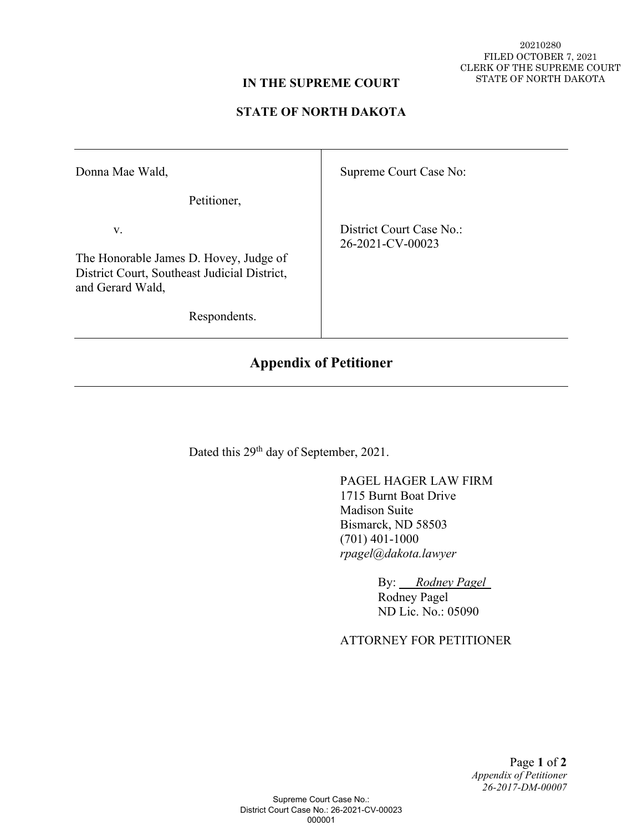20210280 FILED OCTOBER 7, 2021 CLERK OF THE SUPREME COURT STATE OF NORTH DAKOTA

#### **IN THE SUPREME COURT**

### **STATE OF NORTH DAKOTA**

| Donna Mae Wald,                                                                                                                  | Supreme Court Case No:                       |
|----------------------------------------------------------------------------------------------------------------------------------|----------------------------------------------|
| Petitioner,                                                                                                                      |                                              |
| V.<br>The Honorable James D. Hovey, Judge of<br>District Court, Southeast Judicial District,<br>and Gerard Wald,<br>Respondents. | District Court Case No.:<br>26-2021-CV-00023 |

# **Appendix of Petitioner**

Dated this 29<sup>th</sup> day of September, 2021.

 PAGEL HAGER LAW FIRM 1715 Burnt Boat Drive Madison Suite Bismarck, ND 58503 (701) 401-1000 *rpagel@dakota.lawyer* 

> By: *Rodney Pagel*  Rodney Pagel ND Lic. No.: 05090

## ATTORNEY FOR PETITIONER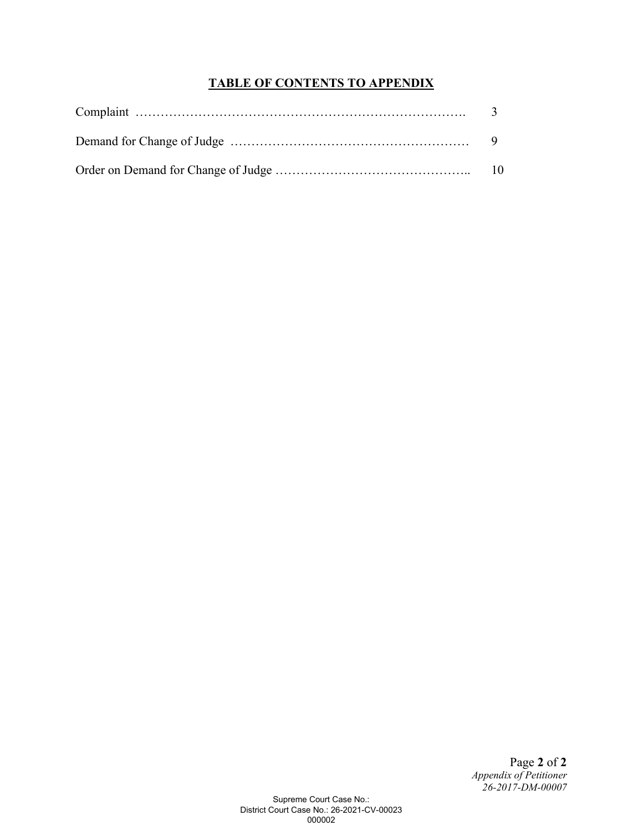## **TABLE OF CONTENTS TO APPENDIX**

Page **2** of **2** *Appendix of Petitioner 26-2017-DM-00007*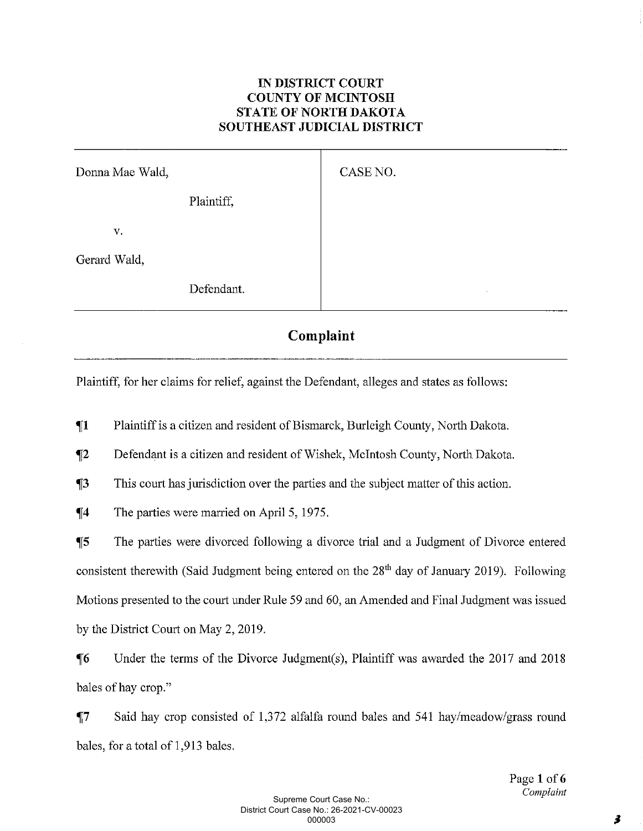## **IN DISTRICT COURT COUNTY OF MCINTOSH STATE OF NORTH DAKOTA** SOUTHEAST JUDICIAL DISTRICT

| Donna Mae Wald, |            | CASE NO. |         |
|-----------------|------------|----------|---------|
|                 | Plaintiff, |          |         |
| V.              |            |          |         |
| Gerard Wald,    |            |          |         |
|                 | Defendant. |          | $\cdot$ |

## Complaint

Plaintiff, for her claims for relief, against the Defendant, alleges and states as follows:

 $\P1$ Plaintiff is a citizen and resident of Bismarck, Burleigh County, North Dakota.

 $\P2$ Defendant is a citizen and resident of Wishek, McIntosh County, North Dakota.

 $\P_3$ This court has jurisdiction over the parties and the subject matter of this action.

 $\P$ 4 The parties were married on April 5, 1975.

The parties were divorced following a divorce trial and a Judgment of Divorce entered  $\P$ 5 consistent therewith (Said Judgment being entered on the  $28<sup>th</sup>$  day of January 2019). Following Motions presented to the court under Rule 59 and 60, an Amended and Final Judgment was issued by the District Court on May 2, 2019.

 $\P6$ Under the terms of the Divorce Judgment(s), Plaintiff was awarded the 2017 and 2018 bales of hay crop."

 $\P7$ Said hay crop consisted of 1,372 alfalfa round bales and 541 hay/meadow/grass round bales, for a total of 1,913 bales.

> Page 1 of 6 Complaint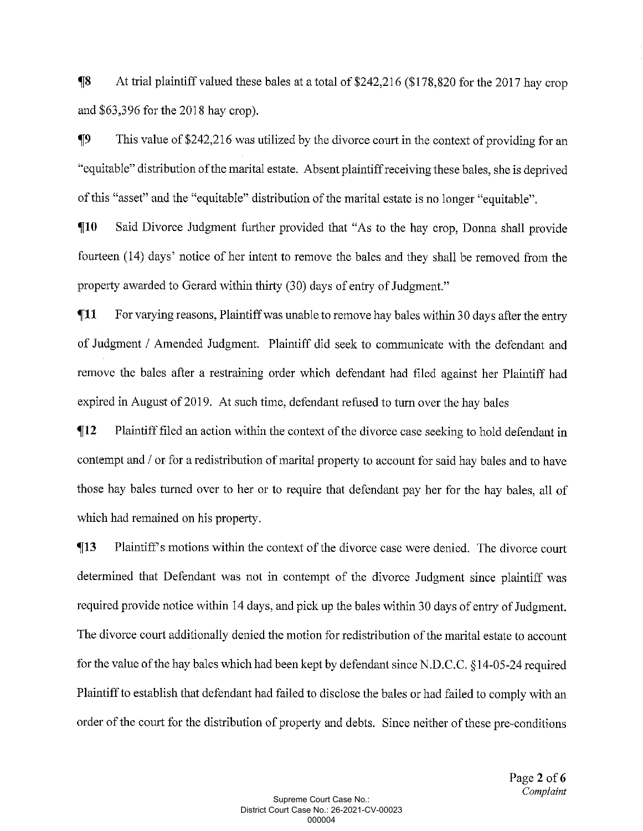At trial plaintiff valued these bales at a total of \$242,216 (\$178,820 for the 2017 hay crop  $\P8$ and  $$63,396$  for the 2018 hay crop).

 $\P9$ This value of \$242,216 was utilized by the divorce court in the context of providing for an "equitable" distribution of the marital estate. Absent plaintiff receiving these bales, she is deprived of this "asset" and the "equitable" distribution of the marital estate is no longer "equitable".

 $\P10$ Said Divorce Judgment further provided that "As to the hay crop, Donna shall provide fourteen (14) days' notice of her intent to remove the bales and they shall be removed from the property awarded to Gerard within thirty (30) days of entry of Judgment."

For varying reasons, Plaintiff was unable to remove hay bales within 30 days after the entry  $\P11$ of Judgment / Amended Judgment. Plaintiff did seek to communicate with the defendant and remove the bales after a restraining order which defendant had filed against her Plaintiff had expired in August of 2019. At such time, defendant refused to turn over the hay bales

Plaintiff filed an action within the context of the divorce case seeking to hold defendant in  $\P12$ contempt and / or for a redistribution of marital property to account for said hay bales and to have those hay bales turned over to her or to require that defendant pay her for the hay bales, all of which had remained on his property.

Plaintiff's motions within the context of the divorce case were denied. The divorce court  $\P13$ determined that Defendant was not in contempt of the divorce Judgment since plaintiff was required provide notice within 14 days, and pick up the bales within 30 days of entry of Judgment. The divorce court additionally denied the motion for redistribution of the marital estate to account for the value of the hay bales which had been kept by defendant since N.D.C.C. §14-05-24 required Plaintiff to establish that defendant had failed to disclose the bales or had failed to comply with an order of the court for the distribution of property and debts. Since neither of these pre-conditions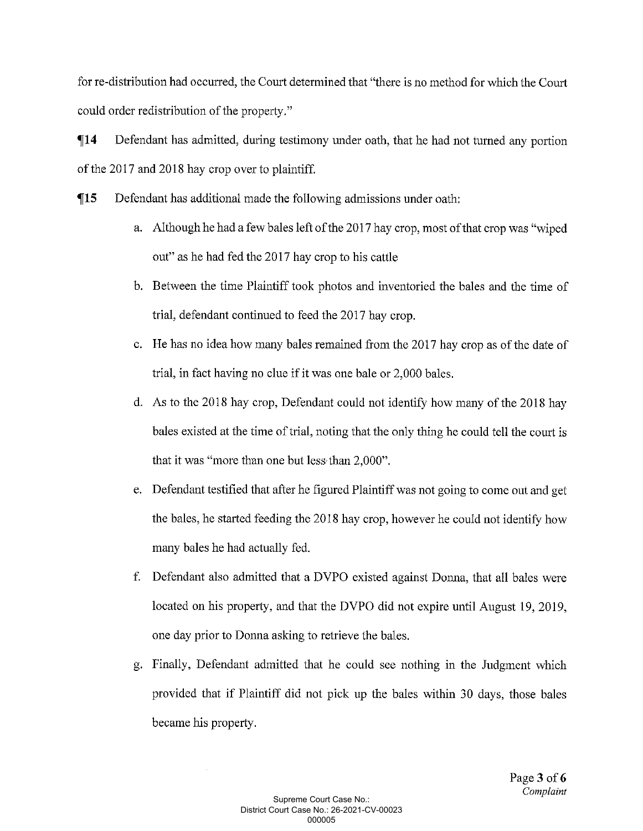for re-distribution had occurred, the Court determined that "there is no method for which the Court could order redistribution of the property."

 $\P14$ Defendant has admitted, during testimony under oath, that he had not turned any portion of the 2017 and 2018 hay crop over to plaintiff.

 $\P15$ Defendant has additional made the following admissions under oath:

- a. Although he had a few bales left of the 2017 hay crop, most of that crop was "wiped out" as he had fed the 2017 hay crop to his cattle
- b. Between the time Plaintiff took photos and inventoried the bales and the time of trial, defendant continued to feed the 2017 hay crop.
- c. He has no idea how many bales remained from the 2017 hay crop as of the date of trial, in fact having no clue if it was one bale or 2,000 bales.
- d. As to the 2018 hay crop, Defendant could not identify how many of the 2018 hay bales existed at the time of trial, noting that the only thing he could tell the court is that it was "more than one but less than 2,000".
- e. Defendant testified that after he figured Plaintiff was not going to come out and get the bales, he started feeding the 2018 hay crop, however he could not identify how many bales he had actually fed.
- f. Defendant also admitted that a DVPO existed against Donna, that all bales were located on his property, and that the DVPO did not expire until August 19, 2019, one day prior to Donna asking to retrieve the bales.
- g. Finally, Defendant admitted that he could see nothing in the Judgment which provided that if Plaintiff did not pick up the bales within 30 days, those bales became his property.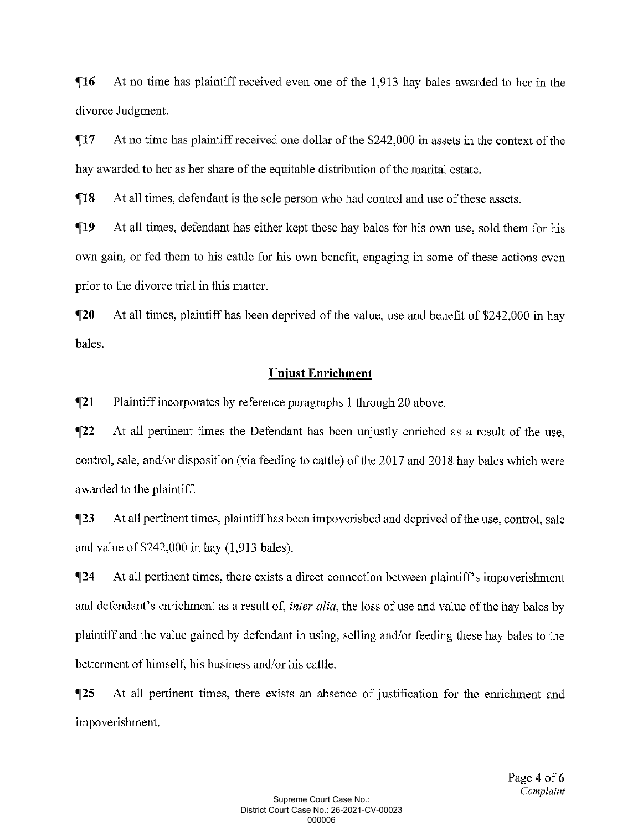$\P16$ At no time has plaintiff received even one of the 1,913 hay bales awarded to her in the divorce Judgment.

 $\P17$ At no time has plaintiff received one dollar of the \$242,000 in assets in the context of the hay awarded to her as her share of the equitable distribution of the marital estate.

 $\P18$ At all times, defendant is the sole person who had control and use of these assets.

 $\P19$ At all times, defendant has either kept these hay bales for his own use, sold them for his own gain, or fed them to his cattle for his own benefit, engaging in some of these actions even prior to the divorce trial in this matter.

 $\P20$ At all times, plaintiff has been deprived of the value, use and benefit of \$242,000 in hay bales.

#### **Unjust Enrichment**

 $\P21$ Plaintiff incorporates by reference paragraphs 1 through 20 above.

 $\P22$ At all pertinent times the Defendant has been unjustly enriched as a result of the use. control, sale, and/or disposition (via feeding to cattle) of the 2017 and 2018 hay bales which were awarded to the plaintiff.

 $\P$ 23 At all pertinent times, plaintiff has been impoverished and deprived of the use, control, sale and value of  $$242,000$  in hay  $(1,913$  bales).

 $\P$ 24 At all pertinent times, there exists a direct connection between plaintiff's impoverishment and defendant's enrichment as a result of, *inter alia*, the loss of use and value of the hay bales by plaintiff and the value gained by defendant in using, selling and/or feeding these hay bales to the betterment of himself, his business and/or his cattle.

 $\P$ 25 At all pertinent times, there exists an absence of justification for the enrichment and impoverishment.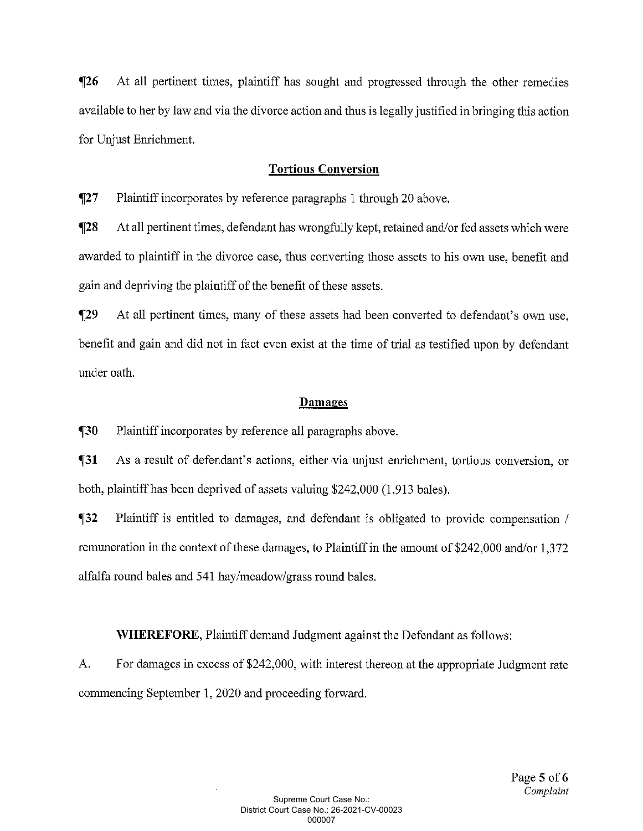$\P$ 26 At all pertinent times, plaintiff has sought and progressed through the other remedies available to her by law and via the divorce action and thus is legally justified in bringing this action for Unjust Enrichment.

## **Tortious Conversion**

 $\P27$ Plaintiff incorporates by reference paragraphs 1 through 20 above.

 $\P$ 28 At all pertinent times, defendant has wrongfully kept, retained and/or fed assets which were awarded to plaintiff in the divorce case, thus converting those assets to his own use, benefit and gain and depriving the plaintiff of the benefit of these assets.

 $\P$ 29 At all pertinent times, many of these assets had been converted to defendant's own use, benefit and gain and did not in fact even exist at the time of trial as testified upon by defendant under oath.

#### Damages

 $\P30$ Plaintiff incorporates by reference all paragraphs above.

 $\P_31$ As a result of defendant's actions, either via unjust enrichment, tortious conversion, or both, plaintiff has been deprived of assets valuing \$242,000 (1,913 bales).

 $\P$ 32 Plaintiff is entitled to damages, and defendant is obligated to provide compensation / remuneration in the context of these damages, to Plaintiff in the amount of \$242,000 and/or 1,372 alfalfa round bales and 541 hay/meadow/grass round bales.

**WHEREFORE, Plaintiff demand Judgment against the Defendant as follows:** 

A. For damages in excess of \$242,000, with interest thereon at the appropriate Judgment rate commencing September 1, 2020 and proceeding forward.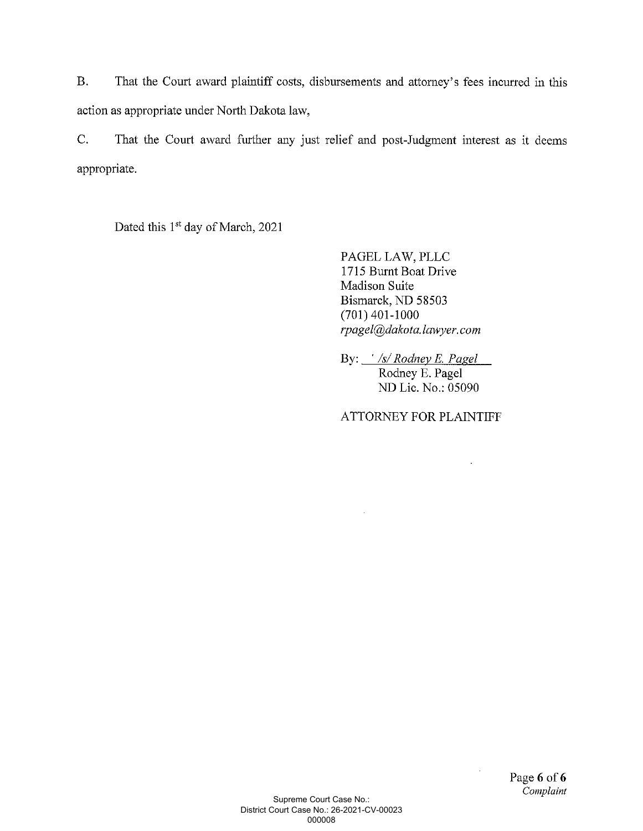**B.** That the Court award plaintiff costs, disbursements and attorney's fees incurred in this action as appropriate under North Dakota law,

 $C_{\bullet}$ That the Court award further any just relief and post-Judgment interest as it deems appropriate.

Dated this 1<sup>st</sup> day of March, 2021

PAGEL LAW, PLLC 1715 Burnt Boat Drive Madison Suite Bismarck, ND 58503  $(701)$  401-1000 rpagel@dakota.lawyer.com

By: */s/Rodney E. Pagel* Rodney E. Pagel ND Lic. No.: 05090

**ATTORNEY FOR PLAINTIFF**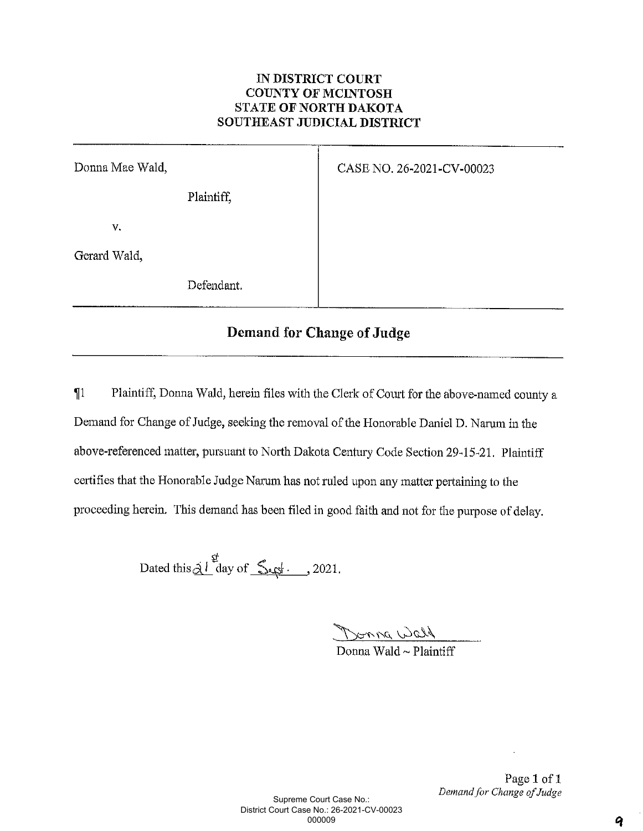## IN DISTRICT COURT **COUNTY OF MCINTOSH** STATE OF NORTH DAKOTA SOUTHEAST JUDICIAL DISTRICT

| Donna Mae Wald, | CASE NO. 26-2021-CV-00023 |
|-----------------|---------------------------|
| Plaintiff,      |                           |
| V.              |                           |
| Gerard Wald,    |                           |
| Defendant.      |                           |

# Demand for Change of Judge

Plaintiff, Donna Wald, herein files with the Clerk of Court for the above-named county a  $\P1$ Demand for Change of Judge, seeking the removal of the Honorable Daniel D. Narum in the above-referenced matter, pursuant to North Dakota Century Code Section 29-15-21. Plaintiff certifies that the Honorable Judge Narum has not ruled upon any matter pertaining to the proceeding herein. This demand has been filed in good faith and not for the purpose of delay.

Dated this  $\frac{d}{dt}$  day of  $\frac{d}{dt}$ . 2021.

Donna Wald<br>Donna Wald ~ Plaintiff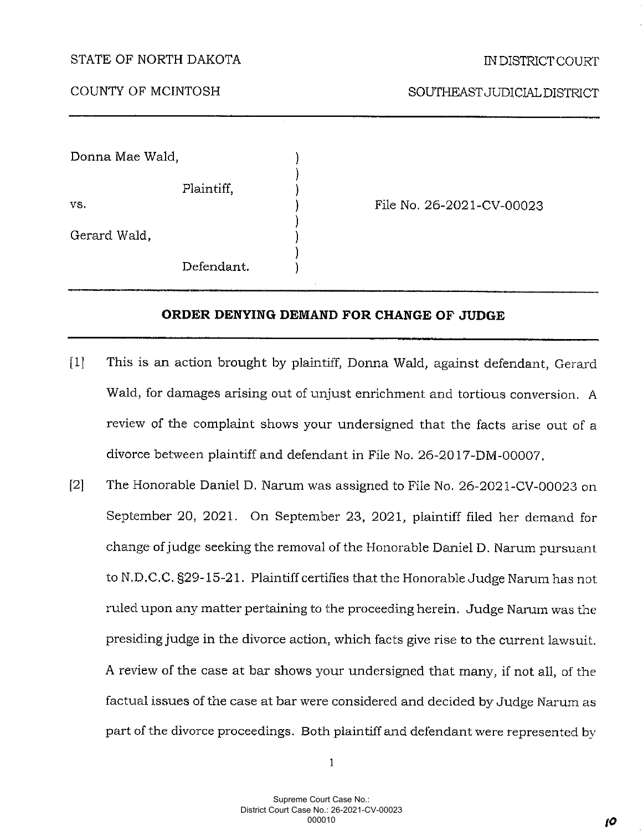#### STATE OF NORTH DAKOTA

COUNTY OF MCINTOSH

SOUTHEAST JUDICIAL DISTRICT

Donna Mae Wald,

Plaintiff.

VS.

Gerard Wald.

Defendant.

File No. 26-2021-CV-00023

#### ORDER DENYING DEMAND FOR CHANGE OF JUDGE

- This is an action brought by plaintiff, Donna Wald, against defendant, Gerard  $\lceil 1 \rceil$ Wald, for damages arising out of unjust enrichment and tortious conversion. A review of the complaint shows your undersigned that the facts arise out of a divorce between plaintiff and defendant in File No. 26-2017-DM-00007.
- $\lceil 2 \rceil$ The Honorable Daniel D. Narum was assigned to File No. 26-2021-CV-00023 on September 20, 2021. On September 23, 2021, plaintiff filed her demand for change of judge seeking the removal of the Honorable Daniel D. Narum pursuant to N.D.C.C. §29-15-21. Plaintiff certifies that the Honorable Judge Narum has not ruled upon any matter pertaining to the proceeding herein. Judge Narum was the presiding judge in the divorce action, which facts give rise to the current lawsuit. A review of the case at bar shows your undersigned that many, if not all, of the factual issues of the case at bar were considered and decided by Judge Narum as part of the divorce proceedings. Both plaintiff and defendant were represented by